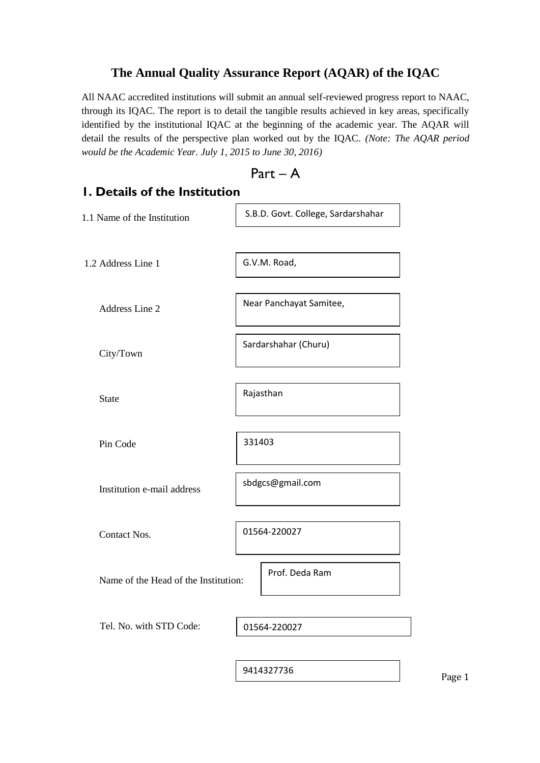### **The Annual Quality Assurance Report (AQAR) of the IQAC**

All NAAC accredited institutions will submit an annual self-reviewed progress report to NAAC, through its IQAC. The report is to detail the tangible results achieved in key areas, specifically identified by the institutional IQAC at the beginning of the academic year. The AQAR will detail the results of the perspective plan worked out by the IQAC. *(Note: The AQAR period would be the Academic Year. July 1, 2015 to June 30, 2016)*

Part – A

# **1. Details of the Institution** 1.1 Name of the Institution 1.2 Address Line 1 Address Line 2 City/Town S.B.D. Govt. College, Sardarshahar G.V.M. Road, Near Panchayat Samitee, Sardarshahar (Churu)

State

Pin Code

331403

sbdgcs@gmail.com

Rajasthan

Institution e-mail address

Contact Nos.

01564-220027

Prof. Deda Ram

Name of the Head of the Institution:

Tel. No. with STD Code:

01564-220027

9414327736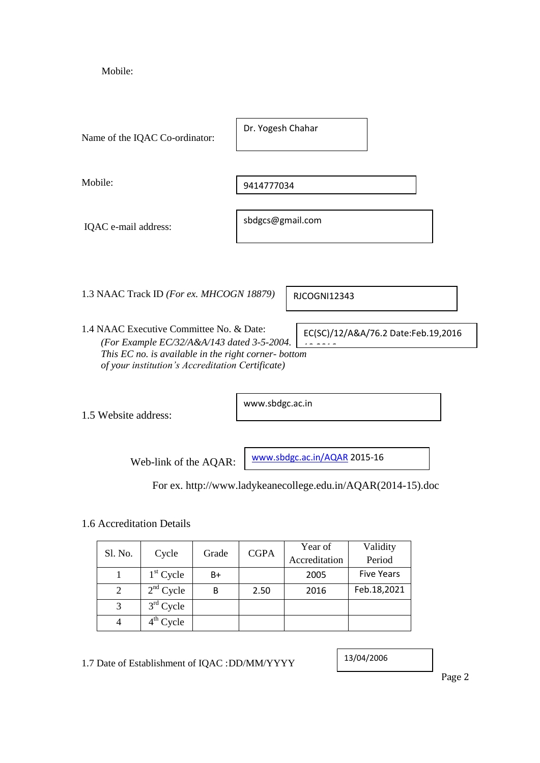Mobile:

| Name of the IQAC Co-ordinator:                                                                                                                                                                     | Dr. Yogesh Chahar                   |
|----------------------------------------------------------------------------------------------------------------------------------------------------------------------------------------------------|-------------------------------------|
| Mobile:                                                                                                                                                                                            | 9414777034                          |
| IQAC e-mail address:                                                                                                                                                                               | sbdgcs@gmail.com                    |
|                                                                                                                                                                                                    |                                     |
| 1.3 NAAC Track ID (For ex. MHCOGN 18879)                                                                                                                                                           | <b>RJCOGNI12343</b>                 |
| 1.4 NAAC Executive Committee No. & Date:<br>(For Example EC/32/A&A/143 dated 3-5-2004.<br>This EC no. is available in the right corner- bottom<br>of your institution's Accreditation Certificate) | EC(SC)/12/A&A/76.2 Date:Feb.19,2016 |
| 1.5 Website address:                                                                                                                                                                               | www.sbdgc.ac.in                     |

Web-link of the AQAR:

[www.sbdgc.ac.in/AQAR](http://www.sbdgc.ac.in/AQAR) 2015-16

For ex. http://www.ladykeanecollege.edu.in/AQAR(2014-15).doc

### 1.6 Accreditation Details

| Sl. No. | Cycle       | Grade | <b>CGPA</b> | Year of | Validity          |               |        |
|---------|-------------|-------|-------------|---------|-------------------|---------------|--------|
|         |             |       |             |         |                   | Accreditation | Period |
|         | $1st$ Cycle | B+    |             | 2005    | <b>Five Years</b> |               |        |
| 2       | $2nd$ Cycle | В     | 2.50        | 2016    | Feb.18,2021       |               |        |
| 3       | $3rd$ Cycle |       |             |         |                   |               |        |
|         | $4th$ Cycle |       |             |         |                   |               |        |

1.7 Date of Establishment of IQAC :DD/MM/YYYY

13/04/2006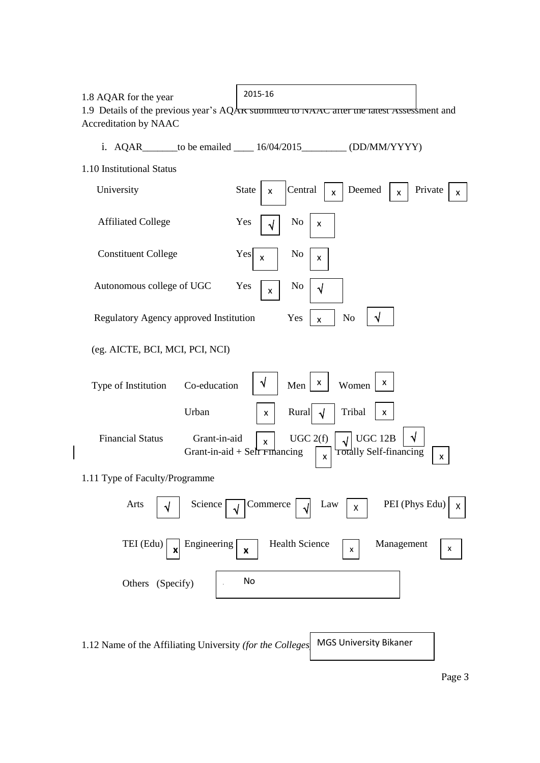1.8 AQAR for the year

2015-16

1.9 Details of the previous year's  $AQA\kappa$  submitted to NAAC after the latest Assessment and Accreditation by NAAC

i.  $AQAR$  \_\_\_\_\_\_to be emailed \_\_\_\_  $16/04/2015$  \_\_\_\_\_\_\_\_\_ (DD/MM/YYYY)

| 1.10 Institutional Status |  |
|---------------------------|--|
|---------------------------|--|

| University                                                | <b>State</b><br>Central<br>Deemed<br>Private<br>X<br>$\mathsf{x}$<br>X<br>x                                                              |
|-----------------------------------------------------------|------------------------------------------------------------------------------------------------------------------------------------------|
| <b>Affiliated College</b>                                 | Yes<br>No<br>X                                                                                                                           |
| <b>Constituent College</b>                                | Yes<br>No<br>$\boldsymbol{\mathsf{x}}$<br>x                                                                                              |
| Autonomous college of UGC                                 | Yes<br>No<br>$\sqrt{}$<br>x                                                                                                              |
| Regulatory Agency approved Institution                    | $\sqrt{}$<br>N <sub>o</sub><br>Yes<br>$\pmb{\mathsf{x}}$                                                                                 |
| (eg. AICTE, BCI, MCI, PCI, NCI)                           |                                                                                                                                          |
| Co-education<br>Type of Institution                       | X<br>X<br>٧<br>Women<br>Men                                                                                                              |
| Urban                                                     | Tribal<br>Rural<br>X<br>X<br>√                                                                                                           |
| <b>Financial Status</b><br>Grant-in-aid                   | UGC 12B<br>UGC 2(f)<br>$\sqrt{}$<br>x<br>Totally Self-financing<br>Grant-in-aid $+$ Self Financing<br>$\pmb{\mathsf{x}}$<br>$\mathsf{x}$ |
| 1.11 Type of Faculty/Programme                            |                                                                                                                                          |
| Arts<br>Science                                           | PEI (Phys Edu)<br>Commerce<br>Law<br>X<br>$\pmb{\mathsf{X}}$                                                                             |
| TEI (Edu)<br>Engineering<br>X                             | <b>Health Science</b><br>Management<br>$\pmb{\mathsf{x}}$<br>x<br>X                                                                      |
| Others (Specify)                                          | No                                                                                                                                       |
|                                                           |                                                                                                                                          |
| 1.12 Name of the Affiliating University (for the Colleges | <b>MGS University Bikaner</b>                                                                                                            |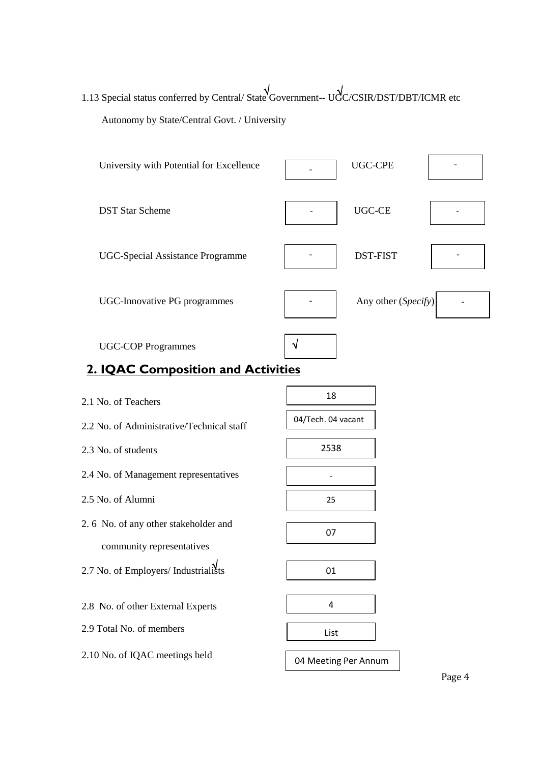1.13 Special status conferred by Central/ State Government-- UGC/CSIR/DST/DBT/ICMR etc Autonomy by State/Central Govt. / University

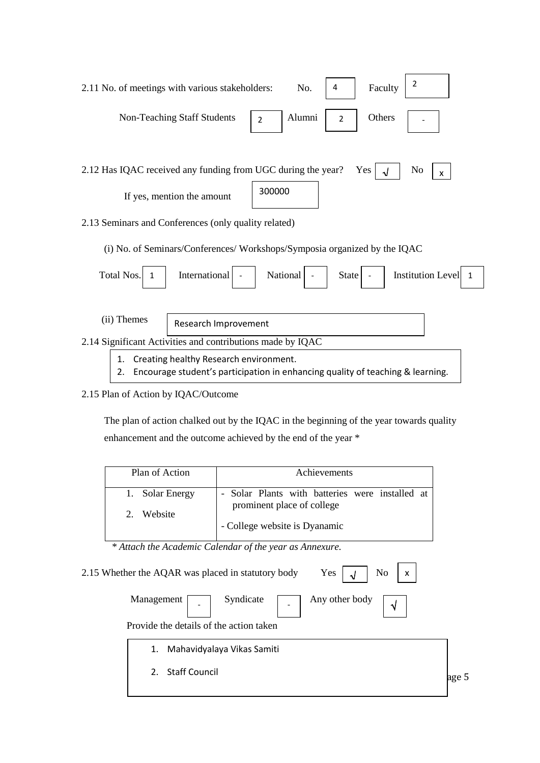| 2<br>4<br>Faculty<br>No.<br>2.11 No. of meetings with various stakeholders:                           |
|-------------------------------------------------------------------------------------------------------|
| Alumni<br>Others<br>Non-Teaching Staff Students<br>$\overline{2}$                                     |
| Yes<br>2.12 Has IQAC received any funding from UGC during the year?<br>N <sub>o</sub><br>$\mathsf{x}$ |
| 300000<br>If yes, mention the amount                                                                  |
| 2.13 Seminars and Conferences (only quality related)                                                  |
| (i) No. of Seminars/Conferences/Workshops/Symposia organized by the IQAC                              |



### 2.15 Plan of Action by IQAC/Outcome

 The plan of action chalked out by the IQAC in the beginning of the year towards quality enhancement and the outcome achieved by the end of the year \*

| Plan of Action  | Achievements                                    |
|-----------------|-------------------------------------------------|
| 1. Solar Energy | - Solar Plants with batteries were installed at |
| Website         | prominent place of college                      |
| 2.              | - College website is Dyanamic                   |

 *\* Attach the Academic Calendar of the year as Annexure.*

| N <sub>0</sub><br>Yes<br>2.15 Whether the AQAR was placed in statutory body<br>$\sqrt{2}$<br>X |       |
|------------------------------------------------------------------------------------------------|-------|
| Syndicate<br>Any other body<br>Management                                                      |       |
| Provide the details of the action taken                                                        |       |
| Mahavidyalaya Vikas Samiti<br>1.                                                               |       |
| <b>Staff Council</b><br>2.                                                                     | age 5 |
|                                                                                                |       |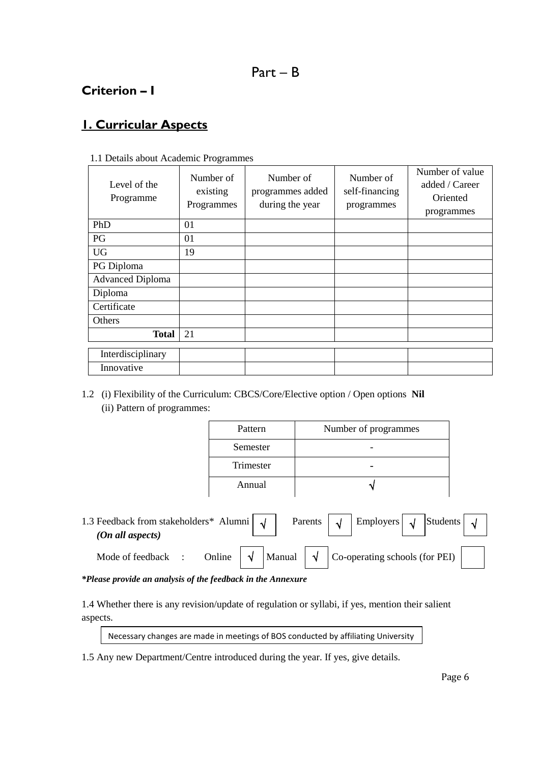### **Criterion – I**

## **1. Curricular Aspects**

| $\ldots$ $\ldots$ $\ldots$ $\ldots$ |                                     |                                                  |                                           |                                                             |
|-------------------------------------|-------------------------------------|--------------------------------------------------|-------------------------------------------|-------------------------------------------------------------|
| Level of the<br>Programme           | Number of<br>existing<br>Programmes | Number of<br>programmes added<br>during the year | Number of<br>self-financing<br>programmes | Number of value<br>added / Career<br>Oriented<br>programmes |
| PhD                                 | 01                                  |                                                  |                                           |                                                             |
| PG                                  | 01                                  |                                                  |                                           |                                                             |
| <b>UG</b>                           | 19                                  |                                                  |                                           |                                                             |
| PG Diploma                          |                                     |                                                  |                                           |                                                             |
| <b>Advanced Diploma</b>             |                                     |                                                  |                                           |                                                             |
| Diploma                             |                                     |                                                  |                                           |                                                             |
| Certificate                         |                                     |                                                  |                                           |                                                             |
| Others                              |                                     |                                                  |                                           |                                                             |
| <b>Total</b>                        | 21                                  |                                                  |                                           |                                                             |
| Interdisciplinary                   |                                     |                                                  |                                           |                                                             |
| Innovative                          |                                     |                                                  |                                           |                                                             |

1.1 Details about Academic Programmes

1.2 (i) Flexibility of the Curriculum: CBCS/Core/Elective option / Open options **Nil** (ii) Pattern of programmes:

| Pattern   | Number of programmes |
|-----------|----------------------|
| Semester  |                      |
| Trimester |                      |
| Annual    |                      |

1.3 Feedback from stakeholders\* Alumni |  $\sqrt{\phantom{a}}$  Parents  $\int \sqrt{\phantom{a}}$  Employers  $\int \sqrt{\phantom{a}}$  Students  *(On all aspects)* Mode of feedback : Online  $\begin{array}{|c|c|c|c|c|c|} \hline \end{array}$  Manual  $\begin{array}{|c|c|c|c|c|c|c|c|} \hline \end{array}$  Co-operating schools (for PEI) Employers Manual

*\*Please provide an analysis of the feedback in the Annexure*

1.4 Whether there is any revision/update of regulation or syllabi, if yes, mention their salient aspects.

Necessary changes are made in meetings of BOS conducted by affiliating University

1.5 Any new Department/Centre introduced during the year. If yes, give details.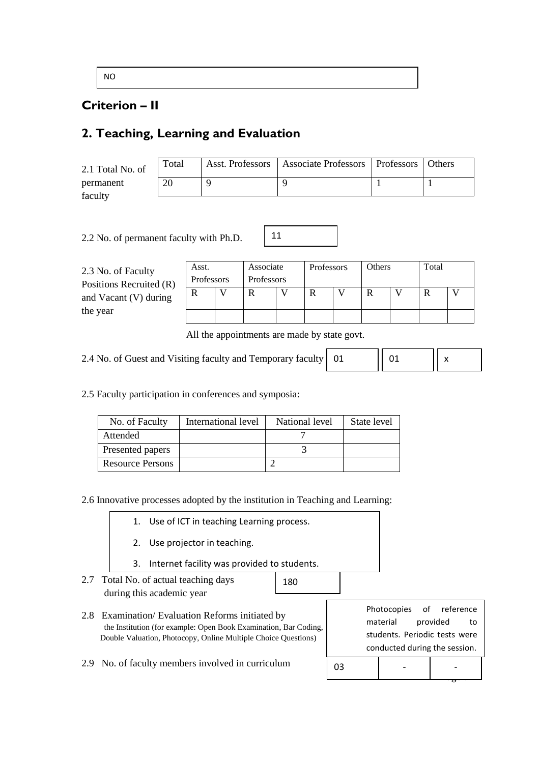NO

### **Criterion – II**

### **2. Teaching, Learning and Evaluation**

| 2.1 Total No. of | Total | Asst. Professors   Associate Professors   Professors   Others |  |
|------------------|-------|---------------------------------------------------------------|--|
| permanent        | 20    |                                                               |  |
| faculty          |       |                                                               |  |

11

2.2 No. of permanent faculty with Ph.D.

| 2.3 No. of Faculty<br>Positions Recruited (R) | Asst. | Associate<br>Professors<br>Professors |   | Professors |  | Others |  | Total |  |  |
|-----------------------------------------------|-------|---------------------------------------|---|------------|--|--------|--|-------|--|--|
| and Vacant (V) during                         |       |                                       | R |            |  |        |  |       |  |  |
| the year                                      |       |                                       |   |            |  |        |  |       |  |  |

All the appointments are made by state govt.

01

 $0<sub>3</sub>$ 

2.4 No. of Guest and Visiting faculty and Temporary faculty

x

01

2.5 Faculty participation in conferences and symposia:

| No. of Faculty          | International level | National level | State level |
|-------------------------|---------------------|----------------|-------------|
| Attended                |                     |                |             |
| Presented papers        |                     |                |             |
| <b>Resource Persons</b> |                     |                |             |

2.6 Innovative processes adopted by the institution in Teaching and Learning:

|  | 1. Use of ICT in teaching Learning process. |  |
|--|---------------------------------------------|--|
|--|---------------------------------------------|--|

- 2. Use projector in teaching.
- 3. Internet facility was provided to students.
- 2.7 Total No. of actual teaching days 180 during this academic year

2.8 Examination/ Evaluation Reforms initiated by the Institution (for example: Open Book Examination, Bar Coding, Double Valuation, Photocopy, Online Multiple Choice Questions)

|                               | Photocopies of reference      |  |          |    |  |
|-------------------------------|-------------------------------|--|----------|----|--|
|                               | material                      |  | provided | to |  |
|                               | students. Periodic tests were |  |          |    |  |
| conducted during the session. |                               |  |          |    |  |
|                               |                               |  |          |    |  |

 $\rightarrow$ 

2.9 No. of faculty members involved in curriculum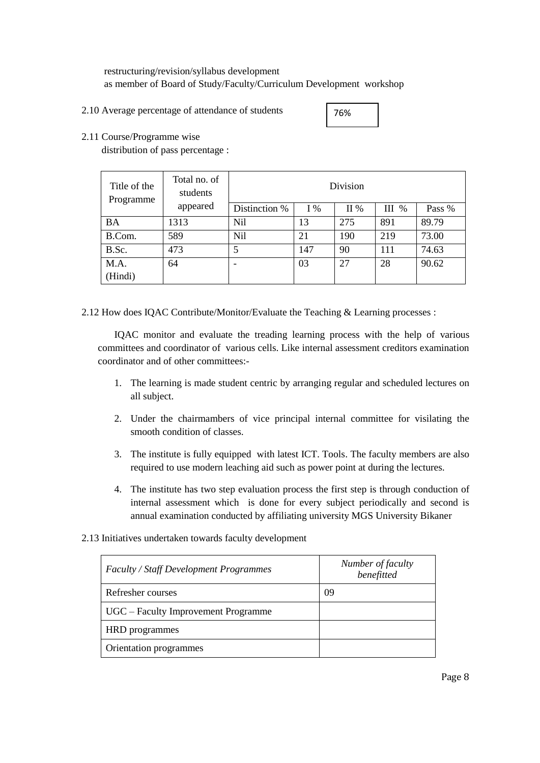restructuring/revision/syllabus development as member of Board of Study/Faculty/Curriculum Development workshop

2.10 Average percentage of attendance of students

2.11 Course/Programme wise

distribution of pass percentage :

| Title of the<br>Programme | Total no. of<br>students | Division      |       |     |         |        |
|---------------------------|--------------------------|---------------|-------|-----|---------|--------|
|                           | appeared                 | Distinction % | $I\%$ | II% | $III$ % | Pass % |
| <b>BA</b>                 | 1313                     | Nil           | 13    | 275 | 891     | 89.79  |
| B.Com.                    | 589                      | Nil           | 21    | 190 | 219     | 73.00  |
| B.Sc.                     | 473                      | 5             | 147   | 90  | 111     | 74.63  |
| M.A.                      | 64                       |               | 03    | 27  | 28      | 90.62  |
| (Hindi)                   |                          |               |       |     |         |        |

2.12 How does IQAC Contribute/Monitor/Evaluate the Teaching & Learning processes :

IQAC monitor and evaluate the treading learning process with the help of various committees and coordinator of various cells. Like internal assessment creditors examination coordinator and of other committees:-

- 1. The learning is made student centric by arranging regular and scheduled lectures on all subject.
- 2. Under the chairmambers of vice principal internal committee for visilating the smooth condition of classes.
- 3. The institute is fully equipped with latest ICT. Tools. The faculty members are also required to use modern leaching aid such as power point at during the lectures.
- 4. The institute has two step evaluation process the first step is through conduction of internal assessment which is done for every subject periodically and second is annual examination conducted by affiliating university MGS University Bikaner
- 2.13 Initiatives undertaken towards faculty development

| <b>Faculty / Staff Development Programmes</b> | Number of faculty<br>benefitted |
|-----------------------------------------------|---------------------------------|
| Refresher courses                             | 09                              |
| UGC – Faculty Improvement Programme           |                                 |
| HRD programmes                                |                                 |
| Orientation programmes                        |                                 |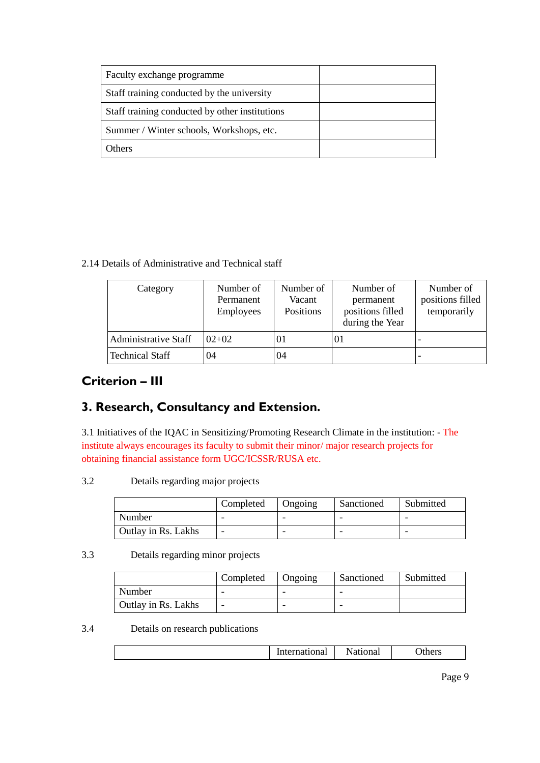| Faculty exchange programme                     |  |
|------------------------------------------------|--|
| Staff training conducted by the university     |  |
| Staff training conducted by other institutions |  |
| Summer / Winter schools, Workshops, etc.       |  |
| <b>Others</b>                                  |  |

2.14 Details of Administrative and Technical staff

| Category                    | Number of<br>Permanent<br><b>Employees</b> | Number of<br>Vacant<br>Positions | Number of<br>permanent<br>positions filled<br>during the Year | Number of<br>positions filled<br>temporarily |
|-----------------------------|--------------------------------------------|----------------------------------|---------------------------------------------------------------|----------------------------------------------|
| <b>Administrative Staff</b> | $02+02$                                    | $_{01}$                          | $_{01}$                                                       | $\overline{\phantom{0}}$                     |
| <b>Technical Staff</b>      | 04                                         | 04                               |                                                               | $\overline{\phantom{a}}$                     |

### **Criterion – III**

## **3. Research, Consultancy and Extension.**

3.1 Initiatives of the IQAC in Sensitizing/Promoting Research Climate in the institution: - The institute always encourages its faculty to submit their minor/ major research projects for obtaining financial assistance form UGC/ICSSR/RUSA etc.

3.2 Details regarding major projects

|                     | Completed | Ongoing | Sanctioned | Submitted |
|---------------------|-----------|---------|------------|-----------|
| Number              |           |         |            |           |
| Outlay in Rs. Lakhs |           |         | -          |           |

3.3 Details regarding minor projects

|                     | Completed | Ongoing | Sanctioned | Submitted |
|---------------------|-----------|---------|------------|-----------|
| Number              |           |         | -          |           |
| Outlay in Rs. Lakhs |           |         | -          |           |

3.4 Details on research publications

| .ational | $\sim$ 10 $\sim$<br><br>ліат | )th∆re<br>urlo |
|----------|------------------------------|----------------|
|          |                              |                |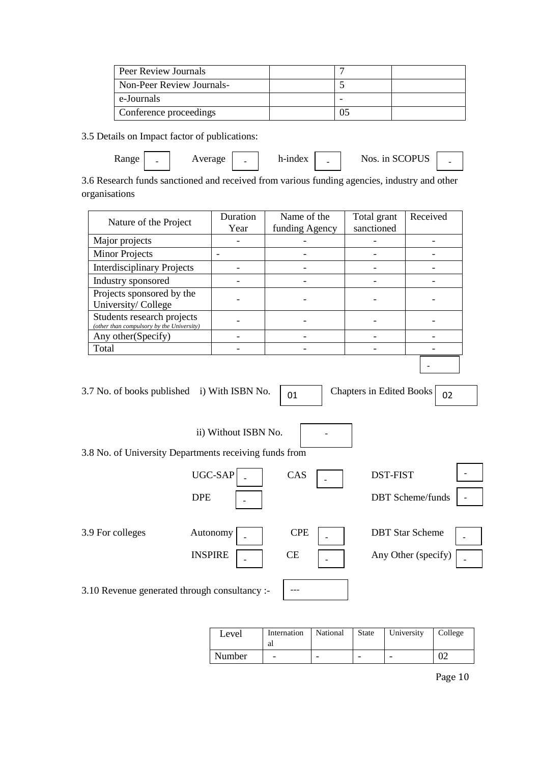| Peer Review Journals      |  |  |
|---------------------------|--|--|
| Non-Peer Review Journals- |  |  |
| e-Journals                |  |  |
| Conference proceedings    |  |  |

3.5 Details on Impact factor of publications:

 Range Average h-index Nos. in SCOPUS - - - -

3.6 Research funds sanctioned and received from various funding agencies, industry and other organisations

|                                             | Nature of the Project                                                                                 | Duration                 | Name of the    | Total grant                     | Received               |  |  |
|---------------------------------------------|-------------------------------------------------------------------------------------------------------|--------------------------|----------------|---------------------------------|------------------------|--|--|
|                                             |                                                                                                       | Year                     | funding Agency | sanctioned                      |                        |  |  |
| Major projects                              |                                                                                                       |                          |                |                                 |                        |  |  |
| <b>Minor Projects</b>                       |                                                                                                       |                          |                |                                 |                        |  |  |
|                                             | <b>Interdisciplinary Projects</b>                                                                     | $\overline{a}$           |                |                                 |                        |  |  |
| Industry sponsored                          |                                                                                                       |                          |                |                                 |                        |  |  |
| University/College                          | Projects sponsored by the                                                                             |                          |                |                                 |                        |  |  |
|                                             | Students research projects<br>(other than compulsory by the University)                               |                          |                |                                 |                        |  |  |
| Any other(Specify)                          |                                                                                                       | $\overline{\phantom{0}}$ |                |                                 |                        |  |  |
| Total                                       |                                                                                                       |                          |                |                                 |                        |  |  |
|                                             | 3.7 No. of books published i) With ISBN No.<br>3.8 No. of University Departments receiving funds from | ii) Without ISBN No.     | 01             | <b>Chapters in Edited Books</b> | 02                     |  |  |
|                                             |                                                                                                       | UGC-SAP                  | CAS            | <b>DST-FIST</b>                 |                        |  |  |
|                                             | <b>DBT</b> Scheme/funds<br><b>DPE</b>                                                                 |                          |                |                                 |                        |  |  |
| 3.9 For colleges                            |                                                                                                       | Autonomy                 | <b>CPE</b>     |                                 | <b>DBT</b> Star Scheme |  |  |
| <b>INSPIRE</b><br>CE<br>Any Other (specify) |                                                                                                       |                          |                |                                 |                        |  |  |
|                                             | 3.10 Revenue generated through consultancy :-                                                         |                          |                |                                 |                        |  |  |

| Level  | Internation<br>al        | National | State | University | College |
|--------|--------------------------|----------|-------|------------|---------|
| Number | $\overline{\phantom{0}}$ | -        | -     | -          |         |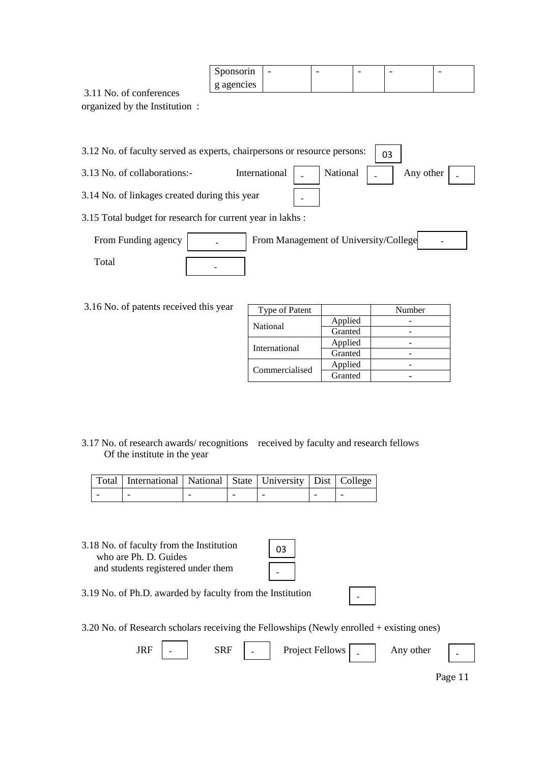|                | Sponsorin  | - | - | - | - |  |
|----------------|------------|---|---|---|---|--|
| ot aontaranaac | g agencies |   |   |   |   |  |

3.11 No. of conferences organized by the Institution :

|                                               | 3.12 No. of faculty served as experts, chairpersons or resource persons:<br>03 |
|-----------------------------------------------|--------------------------------------------------------------------------------|
| 3.13 No. of collaborations:-                  | International<br>National<br>Any other                                         |
| 3.14 No. of linkages created during this year |                                                                                |
|                                               | 3.15 Total budget for research for current year in lakhs:                      |
| From Funding agency                           | From Management of University/College                                          |
| Total                                         |                                                                                |

3.16 No. of patents received this year

| Type of Patent |         | Number |
|----------------|---------|--------|
| National       | Applied |        |
|                | Granted |        |
| International  | Applied |        |
|                | Granted |        |
| Commercialised | Applied |        |
|                | Granted |        |

-

3.17 No. of research awards/ recognitions received by faculty and research fellows Of the institute in the year

| Total   International   National   State   University   Dist   College |  |  |  |
|------------------------------------------------------------------------|--|--|--|
|                                                                        |  |  |  |

3.18 No. of faculty from the Institution who are Ph. D. Guides and students registered under them

3.19 No. of Ph.D. awarded by faculty from the Institution

3.20 No. of Research scholars receiving the Fellowships (Newly enrolled + existing ones)

| JIAI | $\overline{\phantom{0}}$ | v<br>nm | $\overline{\phantom{0}}$ | Project Fellows<br>J | - | Any other | - |  |
|------|--------------------------|---------|--------------------------|----------------------|---|-----------|---|--|
|      |                          |         |                          |                      |   |           |   |  |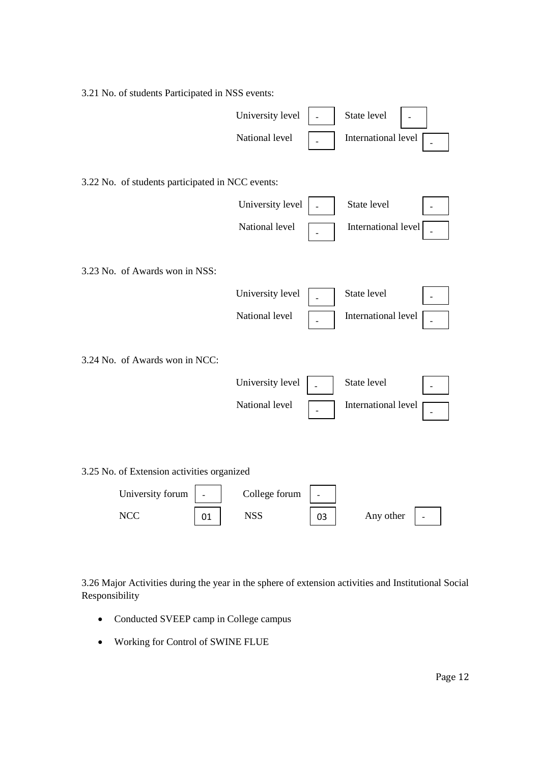| 3.21 No. of students Participated in NSS events: |    |                  |                |                     |  |
|--------------------------------------------------|----|------------------|----------------|---------------------|--|
|                                                  |    | University level |                | State level         |  |
|                                                  |    | National level   |                | International level |  |
|                                                  |    |                  |                |                     |  |
| 3.22 No. of students participated in NCC events: |    |                  |                |                     |  |
|                                                  |    | University level |                | State level         |  |
|                                                  |    | National level   |                | International level |  |
|                                                  |    |                  |                |                     |  |
| 3.23 No. of Awards won in NSS:                   |    |                  |                |                     |  |
|                                                  |    | University level |                | State level         |  |
|                                                  |    | National level   |                | International level |  |
|                                                  |    |                  |                |                     |  |
| 3.24 No. of Awards won in NCC:                   |    |                  |                |                     |  |
|                                                  |    | University level |                | State level         |  |
|                                                  |    | National level   |                | International level |  |
|                                                  |    |                  |                |                     |  |
|                                                  |    |                  |                |                     |  |
| 3.25 No. of Extension activities organized       |    |                  |                |                     |  |
| University forum                                 |    | College forum    | $\overline{a}$ |                     |  |
| <b>NCC</b>                                       | 01 | <b>NSS</b>       | 03             | Any other           |  |

3.26 Major Activities during the year in the sphere of extension activities and Institutional Social Responsibility

- Conducted SVEEP camp in College campus
- Working for Control of SWINE FLUE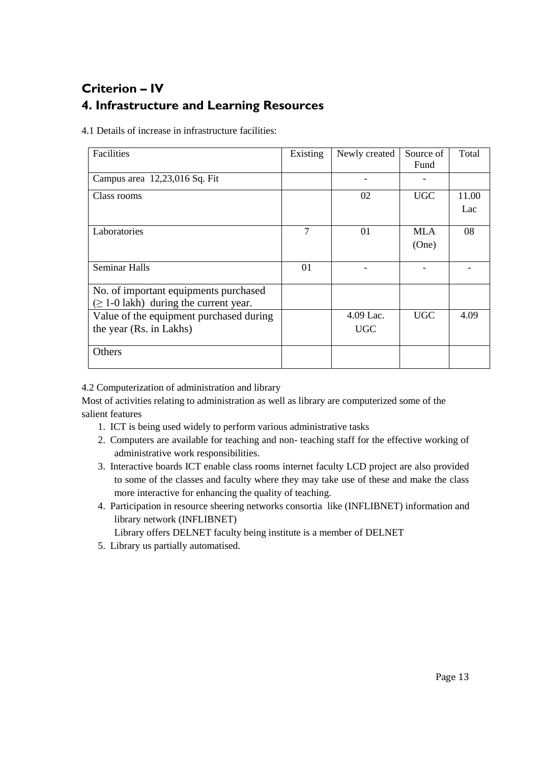## **Criterion – IV 4. Infrastructure and Learning Resources**

4.1 Details of increase in infrastructure facilities:

| Facilities                                  | Existing | Newly created | Source of<br>Fund | Total |
|---------------------------------------------|----------|---------------|-------------------|-------|
| Campus area 12,23,016 Sq. Fit               |          |               |                   |       |
| Class rooms                                 |          | 02            | <b>UGC</b>        | 11.00 |
|                                             |          |               |                   | Lac   |
| Laboratories                                | 7        | 01            | <b>MLA</b>        | 08    |
|                                             |          |               | (One)             |       |
|                                             |          |               |                   |       |
| <b>Seminar Halls</b>                        | 01       |               |                   |       |
| No. of important equipments purchased       |          |               |                   |       |
| $(\geq 1$ -0 lakh) during the current year. |          |               |                   |       |
| Value of the equipment purchased during     |          | $4.09$ Lac.   | <b>UGC</b>        | 4.09  |
| the year (Rs. in Lakhs)                     |          | UGC           |                   |       |
| Others                                      |          |               |                   |       |

4.2 Computerization of administration and library

Most of activities relating to administration as well as library are computerized some of the salient features

- 1. ICT is being used widely to perform various administrative tasks
- 2. Computers are available for teaching and non- teaching staff for the effective working of administrative work responsibilities.
- 3. Interactive boards ICT enable class rooms internet faculty LCD project are also provided to some of the classes and faculty where they may take use of these and make the class more interactive for enhancing the quality of teaching.
- 4. Participation in resource sheering networks consortia like (INFLIBNET) information and library network (INFLIBNET)

Library offers DELNET faculty being institute is a member of DELNET

5. Library us partially automatised.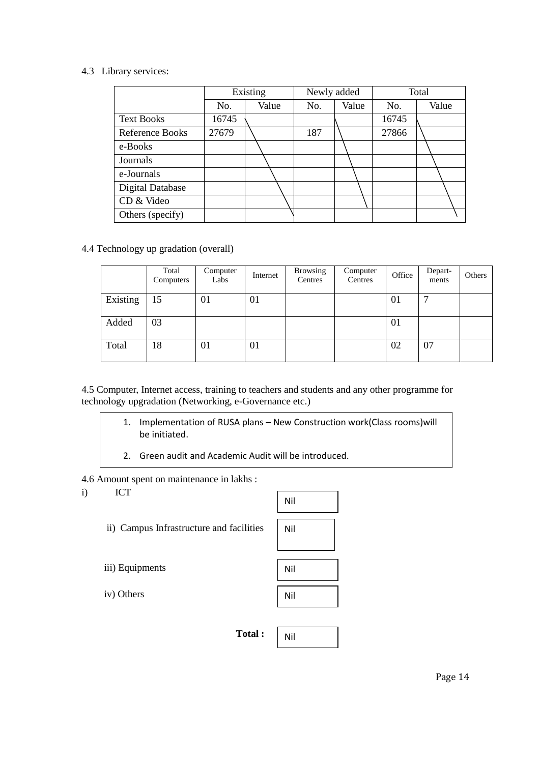### 4.3 Library services:

|                         | Existing |       | Newly added |       | Total |       |  |
|-------------------------|----------|-------|-------------|-------|-------|-------|--|
|                         | No.      | Value | No.         | Value | No.   | Value |  |
| <b>Text Books</b>       | 16745    |       |             |       | 16745 |       |  |
| <b>Reference Books</b>  | 27679    |       | 187         |       | 27866 |       |  |
| e-Books                 |          |       |             |       |       |       |  |
| Journals                |          |       |             |       |       |       |  |
| e-Journals              |          |       |             |       |       |       |  |
| <b>Digital Database</b> |          |       |             |       |       |       |  |
| CD & Video              |          |       |             |       |       |       |  |
| Others (specify)        |          |       |             |       |       |       |  |

### 4.4 Technology up gradation (overall)

|          | Total<br>Computers | Computer<br>Labs | Internet | <b>Browsing</b><br>Centres | Computer<br>Centres | Office | Depart-<br>ments | Others |
|----------|--------------------|------------------|----------|----------------------------|---------------------|--------|------------------|--------|
| Existing | 15                 | 01               | 01       |                            |                     | 01     | −                |        |
| Added    | 03                 |                  |          |                            |                     | 01     |                  |        |
| Total    | 18                 | 01               | 01       |                            |                     | 02     | 07               |        |

4.5 Computer, Internet access, training to teachers and students and any other programme for technology upgradation (Networking, e-Governance etc.)

- 1. Implementation of RUSA plans New Construction work(Class rooms)will be initiated.
- 2. Green audit and Academic Audit will be introduced.

4.6 Amount spent on maintenance in lakhs :

i) ICT

ii) Campus Infrastructure and facilities



iii) Equipments

iv) Others



**Total :**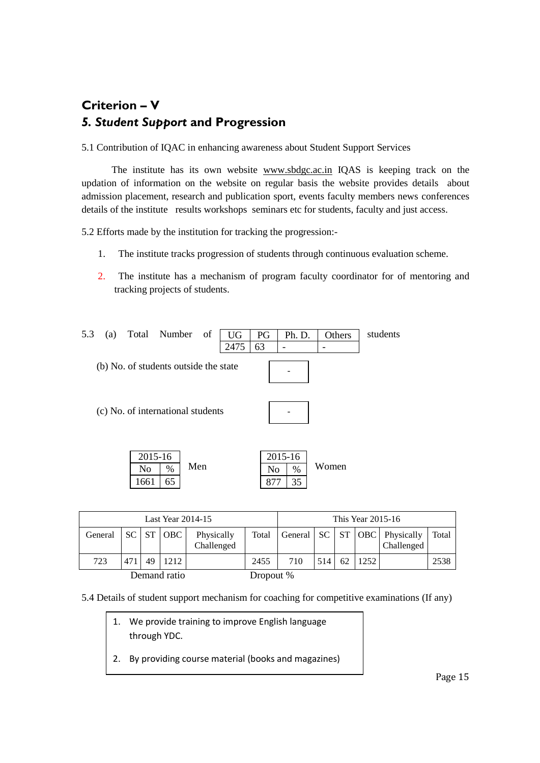## **Criterion – V** *5. Student Support* **and Progression**

5.1 Contribution of IQAC in enhancing awareness about Student Support Services

 The institute has its own website [www.sbdgc.ac.in](http://www.sbdgc.ac.in/) IQAS is keeping track on the updation of information on the website on regular basis the website provides details about admission placement, research and publication sport, events faculty members news conferences details of the institute results workshops seminars etc for students, faculty and just access.

5.2 Efforts made by the institution for tracking the progression:-

- 1. The institute tracks progression of students through continuous evaluation scheme.
- 2. The institute has a mechanism of program faculty coordinator for of mentoring and tracking projects of students.

| 5.3 | (a) |                       | Total Number                          | of  | UG   | PG        | Ph. D.             | Others | students |
|-----|-----|-----------------------|---------------------------------------|-----|------|-----------|--------------------|--------|----------|
|     |     |                       |                                       |     | 2475 | 63        |                    |        |          |
|     |     |                       | (b) No. of students outside the state |     |      |           |                    |        |          |
|     |     |                       | (c) No. of international students     |     |      |           |                    |        |          |
|     |     | 2015-16<br>No<br>1661 | %<br>65                               | Men |      | No<br>877 | 2015-16<br>%<br>35 | Women  |          |

| Last Year $2014-15$ |     |    |           |                          |       |     | This Year 2015-16 |    |      |                                                    |       |
|---------------------|-----|----|-----------|--------------------------|-------|-----|-------------------|----|------|----------------------------------------------------|-------|
| General             |     |    | SC ST OBC | Physically<br>Challenged | Total |     |                   |    |      | General   SC   ST   OBC   Physically<br>Challenged | Total |
| 723                 | 471 | 49 | 1212      |                          | 2455  | 710 | 514               | 62 | 1252 |                                                    | 2538  |
| Demand ratio        |     |    | Dropout % |                          |       |     |                   |    |      |                                                    |       |

5.4 Details of student support mechanism for coaching for competitive examinations (If any)

- - 1. We provide training to improve English language through YDC.
	- 2. By providing course material (books and magazines)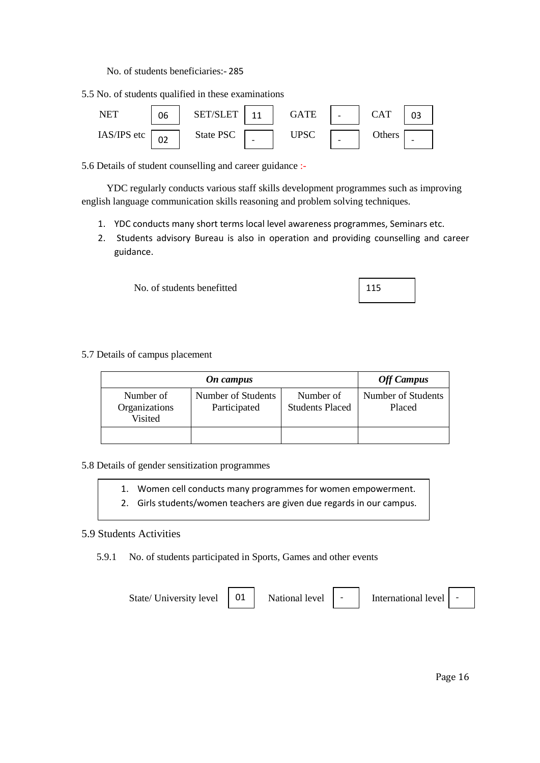No. of students beneficiaries:- 285

5.5 No. of students qualified in these examinations



5.6 Details of student counselling and career guidance :-

 YDC regularly conducts various staff skills development programmes such as improving english language communication skills reasoning and problem solving techniques.

- 1. YDC conducts many short terms local level awareness programmes, Seminars etc.
- 2. Students advisory Bureau is also in operation and providing counselling and career guidance.

No. of students benefitted

5.7 Details of campus placement

|                                       | <b>Off Campus</b>                  |                                     |                              |
|---------------------------------------|------------------------------------|-------------------------------------|------------------------------|
| Number of<br>Organizations<br>Visited | Number of Students<br>Participated | Number of<br><b>Students Placed</b> | Number of Students<br>Placed |
|                                       |                                    |                                     |                              |

### 5.8 Details of gender sensitization programmes

- 1. Women cell conducts many programmes for women empowerment.
- 2. Girls students/women teachers are given due regards in our campus.

### 5.9 Students Activities

5.9.1 No. of students participated in Sports, Games and other events

01

State/ University level  $\begin{vmatrix} 01 \end{vmatrix}$  National level

International level

115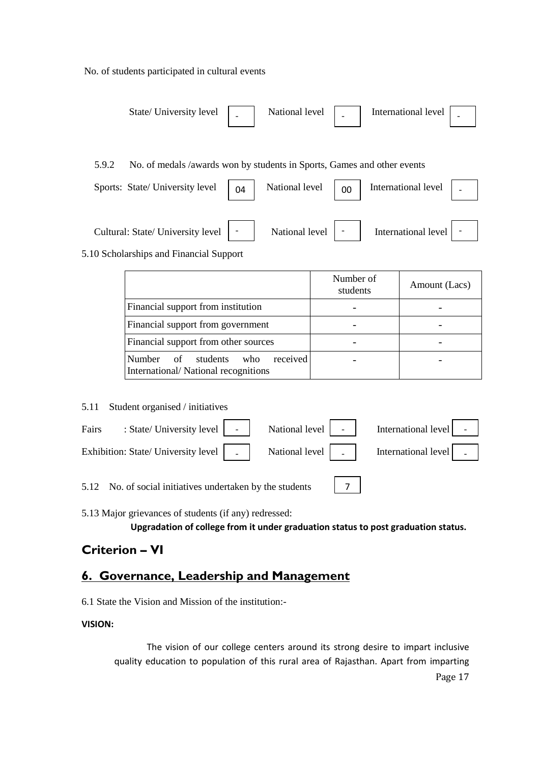No. of students participated in cultural events

| State/University level                                                           |                |                           | National level   _   International level                                                                                                                 |  |
|----------------------------------------------------------------------------------|----------------|---------------------------|----------------------------------------------------------------------------------------------------------------------------------------------------------|--|
| No. of medals /awards won by students in Sports, Games and other events<br>5.9.2 |                |                           |                                                                                                                                                          |  |
| Sports: State/University level $\Big  04$                                        | National level | $\begin{array}{ c c }$ 00 | International level                                                                                                                                      |  |
| Cultural: State/ University level   -<br>5.10 Scholarships and Financial Support |                |                           | National level $\begin{vmatrix} - & \cdot \\ \cdot & \cdot \end{vmatrix}$ International level $\begin{vmatrix} - & \cdot \\ \cdot & \cdot \end{vmatrix}$ |  |

|                                                                              | Number of<br>students | Amount (Lacs) |
|------------------------------------------------------------------------------|-----------------------|---------------|
| Financial support from institution                                           |                       |               |
| Financial support from government                                            |                       |               |
| Financial support from other sources                                         |                       |               |
| received<br>Number of students<br>who<br>International/National recognitions |                       |               |

5.11 Student organised / initiatives

| Fairs |                                                           |  | : State/University level   -   National level   -   International level   -                                                                                                                                         |
|-------|-----------------------------------------------------------|--|---------------------------------------------------------------------------------------------------------------------------------------------------------------------------------------------------------------------|
|       |                                                           |  | Exhibition: State/ University level $\begin{bmatrix} 1 & 1 \\ 0 & 1 \end{bmatrix}$ Mational level $\begin{bmatrix} 1 & 1 \\ 0 & 1 \end{bmatrix}$ International level $\begin{bmatrix} 1 & 1 \\ 0 & 1 \end{bmatrix}$ |
|       | 5.12 No. of social initiatives undertaken by the students |  |                                                                                                                                                                                                                     |

5.12 No. of social initiatives undertaken by the students

5.13 Major grievances of students (if any) redressed:

**Upgradation of college from it under graduation status to post graduation status.**

### **Criterion – VI**

### **6. Governance, Leadership and Management**

6.1 State the Vision and Mission of the institution:-

### **VISION:**

The vision of our college centers around its strong desire to impart inclusive quality education to population of this rural area of Rajasthan. Apart from imparting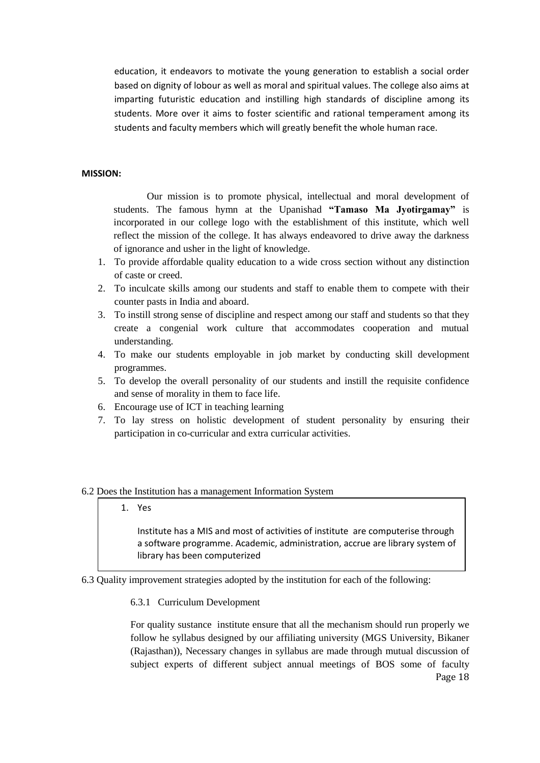education, it endeavors to motivate the young generation to establish a social order based on dignity of lobour as well as moral and spiritual values. The college also aims at imparting futuristic education and instilling high standards of discipline among its students. More over it aims to foster scientific and rational temperament among its students and faculty members which will greatly benefit the whole human race.

### **MISSION:**

Our mission is to promote physical, intellectual and moral development of students. The famous hymn at the Upanishad **"Tamaso Ma Jyotirgamay"** is incorporated in our college logo with the establishment of this institute, which well reflect the mission of the college. It has always endeavored to drive away the darkness of ignorance and usher in the light of knowledge.

- 1. To provide affordable quality education to a wide cross section without any distinction of caste or creed.
- 2. To inculcate skills among our students and staff to enable them to compete with their counter pasts in India and aboard.
- 3. To instill strong sense of discipline and respect among our staff and students so that they create a congenial work culture that accommodates cooperation and mutual understanding.
- 4. To make our students employable in job market by conducting skill development programmes.
- 5. To develop the overall personality of our students and instill the requisite confidence and sense of morality in them to face life.
- 6. Encourage use of ICT in teaching learning
- 7. To lay stress on holistic development of student personality by ensuring their participation in co-curricular and extra curricular activities.

#### 6.2 Does the Institution has a management Information System

1. Yes

Institute has a MIS and most of activities of institute are computerise through a software programme. Academic, administration, accrue are library system of library has been computerized

6.3 Quality improvement strategies adopted by the institution for each of the following:

#### 6.3.1 Curriculum Development

Page 18 For quality sustance institute ensure that all the mechanism should run properly we follow he syllabus designed by our affiliating university (MGS University, Bikaner (Rajasthan)), Necessary changes in syllabus are made through mutual discussion of subject experts of different subject annual meetings of BOS some of faculty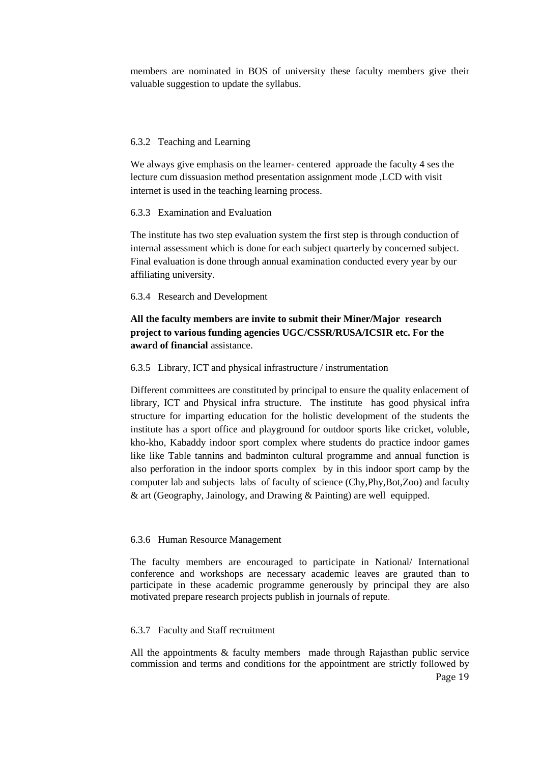members are nominated in BOS of university these faculty members give their valuable suggestion to update the syllabus.

#### 6.3.2 Teaching and Learning

We always give emphasis on the learner- centered approade the faculty 4 ses the lecture cum dissuasion method presentation assignment mode ,LCD with visit internet is used in the teaching learning process.

#### 6.3.3 Examination and Evaluation

The institute has two step evaluation system the first step is through conduction of internal assessment which is done for each subject quarterly by concerned subject. Final evaluation is done through annual examination conducted every year by our affiliating university.

#### 6.3.4 Research and Development

### **All the faculty members are invite to submit their Miner/Major research project to various funding agencies UGC/CSSR/RUSA/ICSIR etc. For the award of financial** assistance.

#### 6.3.5 Library, ICT and physical infrastructure / instrumentation

Different committees are constituted by principal to ensure the quality enlacement of library, ICT and Physical infra structure. The institute has good physical infra structure for imparting education for the holistic development of the students the institute has a sport office and playground for outdoor sports like cricket, voluble, kho-kho, Kabaddy indoor sport complex where students do practice indoor games like like Table tannins and badminton cultural programme and annual function is also perforation in the indoor sports complex by in this indoor sport camp by the computer lab and subjects labs of faculty of science (Chy,Phy,Bot,Zoo) and faculty & art (Geography, Jainology, and Drawing & Painting) are well equipped.

#### 6.3.6 Human Resource Management

The faculty members are encouraged to participate in National/ International conference and workshops are necessary academic leaves are grauted than to participate in these academic programme generously by principal they are also motivated prepare research projects publish in journals of repute.

#### 6.3.7 Faculty and Staff recruitment

All the appointments & faculty members made through Rajasthan public service commission and terms and conditions for the appointment are strictly followed by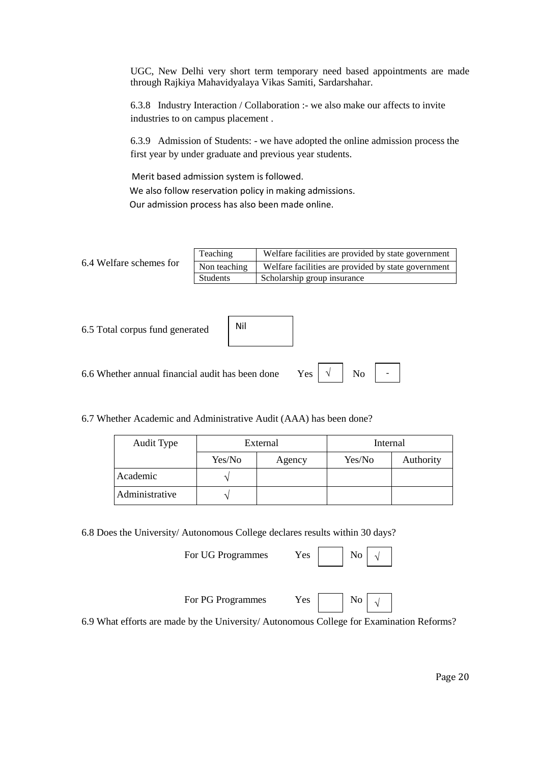UGC, New Delhi very short term temporary need based appointments are made through Rajkiya Mahavidyalaya Vikas Samiti, Sardarshahar.

6.3.8 Industry Interaction / Collaboration :- we also make our affects to invite industries to on campus placement .

6.3.9 Admission of Students: - we have adopted the online admission process the first year by under graduate and previous year students.

 Merit based admission system is followed. We also follow reservation policy in making admissions. Our admission process has also been made online.

6.4 Welfare schemes for Teaching Welfare facilities are provided by state government Non teaching Welfare facilities are provided by state government Students Scholarship group insurance

| 6.5 Total corpus fund generated                                                                                                                                                                                                                                                                                                                                               | Nil |  |
|-------------------------------------------------------------------------------------------------------------------------------------------------------------------------------------------------------------------------------------------------------------------------------------------------------------------------------------------------------------------------------|-----|--|
| 6.6 Whether annual financial audit has been done Yes $\begin{vmatrix} \sqrt{1} & \sqrt{1} & \sqrt{1} & \sqrt{1} & \sqrt{1} & \sqrt{1} & \sqrt{1} & \sqrt{1} & \sqrt{1} & \sqrt{1} & \sqrt{1} & \sqrt{1} & \sqrt{1} & \sqrt{1} & \sqrt{1} & \sqrt{1} & \sqrt{1} & \sqrt{1} & \sqrt{1} & \sqrt{1} & \sqrt{1} & \sqrt{1} & \sqrt{1} & \sqrt{1} & \sqrt{1} & \sqrt{1} & \sqrt{1}$ |     |  |

6.7 Whether Academic and Administrative Audit (AAA) has been done?

| Audit Type     |        | External | Internal |           |  |
|----------------|--------|----------|----------|-----------|--|
|                | Yes/No | Agency   | Yes/No   | Authority |  |
| Academic       |        |          |          |           |  |
| Administrative |        |          |          |           |  |

6.8 Does the University/ Autonomous College declares results within 30 days?

For UG Programmes Yes

For PG Programmes Yes No

 $\sqrt{ }$ 

6.9 What efforts are made by the University/ Autonomous College for Examination Reforms?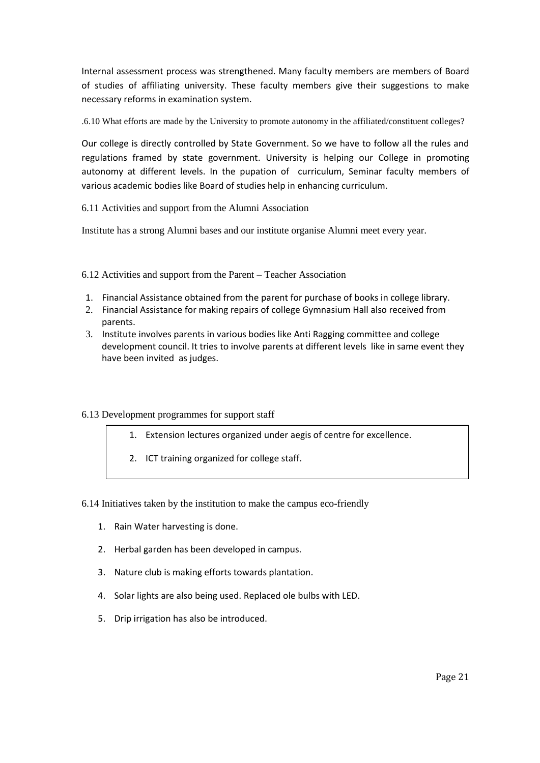Internal assessment process was strengthened. Many faculty members are members of Board of studies of affiliating university. These faculty members give their suggestions to make necessary reforms in examination system.

.6.10 What efforts are made by the University to promote autonomy in the affiliated/constituent colleges?

Our college is directly controlled by State Government. So we have to follow all the rules and regulations framed by state government. University is helping our College in promoting autonomy at different levels. In the pupation of curriculum, Seminar faculty members of various academic bodies like Board of studies help in enhancing curriculum.

6.11 Activities and support from the Alumni Association

Institute has a strong Alumni bases and our institute organise Alumni meet every year.

6.12 Activities and support from the Parent – Teacher Association

- 1. Financial Assistance obtained from the parent for purchase of books in college library.
- 2. Financial Assistance for making repairs of college Gymnasium Hall also received from parents.
- 3. Institute involves parents in various bodies like Anti Ragging committee and college development council. It tries to involve parents at different levels like in same event they have been invited as judges.

### 6.13 Development programmes for support staff

- 1. Extension lectures organized under aegis of centre for excellence.
- 2. ICT training organized for college staff.
- 6.14 Initiatives taken by the institution to make the campus eco-friendly
	- 1. Rain Water harvesting is done.
	- 2. Herbal garden has been developed in campus.
	- 3. Nature club is making efforts towards plantation.
	- 4. Solar lights are also being used. Replaced ole bulbs with LED.
	- 5. Drip irrigation has also be introduced.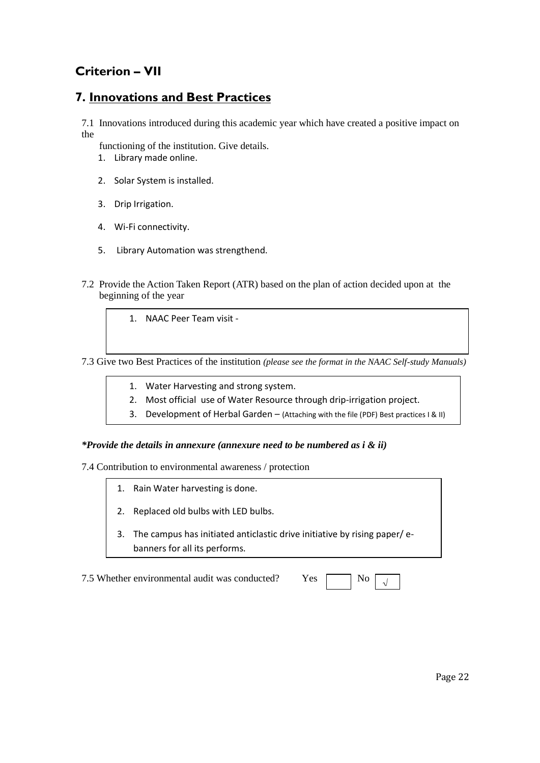## **Criterion – VII**

### **7. Innovations and Best Practices**

7.1 Innovations introduced during this academic year which have created a positive impact on the

functioning of the institution. Give details.

- 1. Library made online.
- 2. Solar System is installed.
- 3. Drip Irrigation.
- 4. Wi-Fi connectivity.
- 5. Library Automation was strengthend.
- 7.2 Provide the Action Taken Report (ATR) based on the plan of action decided upon at the beginning of the year

1. NAAC Peer Team visit -

7.3 Give two Best Practices of the institution *(please see the format in the NAAC Self-study Manuals)*

- 1. Water Harvesting and strong system.
- 2. Most official use of Water Resource through drip-irrigation project.
- 3. Development of Herbal Garden (Attaching with the file (PDF) Best practices I & II)

### *\*Provide the details in annexure (annexure need to be numbered as i & ii)*

7.4 Contribution to environmental awareness / protection

- 1. Rain Water harvesting is done.
- 2. Replaced old bulbs with LED bulbs.
- 3. The campus has initiated anticlastic drive initiative by rising paper/ ebanners for all its performs.

7.5 Whether environmental audit was conducted?

| · ⊶c | ง∩ |  |
|------|----|--|
|      |    |  |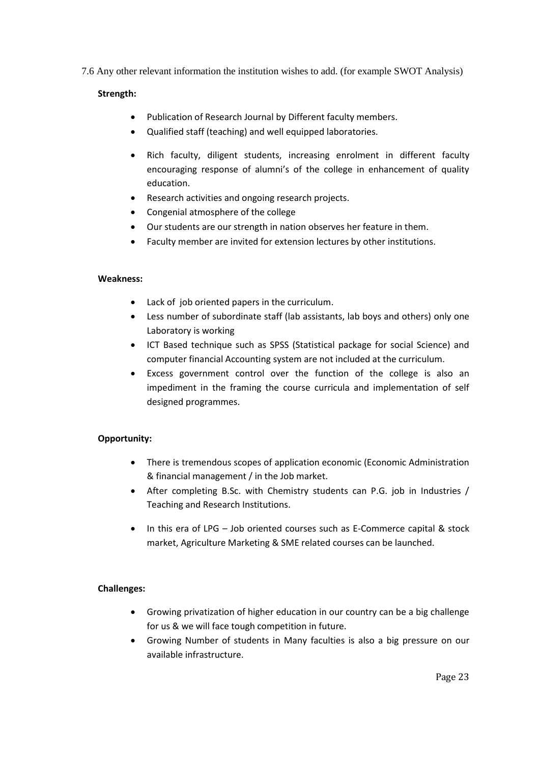7.6 Any other relevant information the institution wishes to add. (for example SWOT Analysis)

### **Strength:**

- Publication of Research Journal by Different faculty members.
- Qualified staff (teaching) and well equipped laboratories.
- Rich faculty, diligent students, increasing enrolment in different faculty encouraging response of alumni's of the college in enhancement of quality education.
- Research activities and ongoing research projects.
- Congenial atmosphere of the college
- Our students are our strength in nation observes her feature in them.
- Faculty member are invited for extension lectures by other institutions.

#### **Weakness:**

- Lack of job oriented papers in the curriculum.
- Less number of subordinate staff (lab assistants, lab boys and others) only one Laboratory is working
- ICT Based technique such as SPSS (Statistical package for social Science) and computer financial Accounting system are not included at the curriculum.
- Excess government control over the function of the college is also an impediment in the framing the course curricula and implementation of self designed programmes.

### **Opportunity:**

- There is tremendous scopes of application economic (Economic Administration & financial management / in the Job market.
- After completing B.Sc. with Chemistry students can P.G. job in Industries / Teaching and Research Institutions.
- In this era of LPG Job oriented courses such as E-Commerce capital & stock market, Agriculture Marketing & SME related courses can be launched.

### **Challenges:**

- Growing privatization of higher education in our country can be a big challenge for us & we will face tough competition in future.
- Growing Number of students in Many faculties is also a big pressure on our available infrastructure.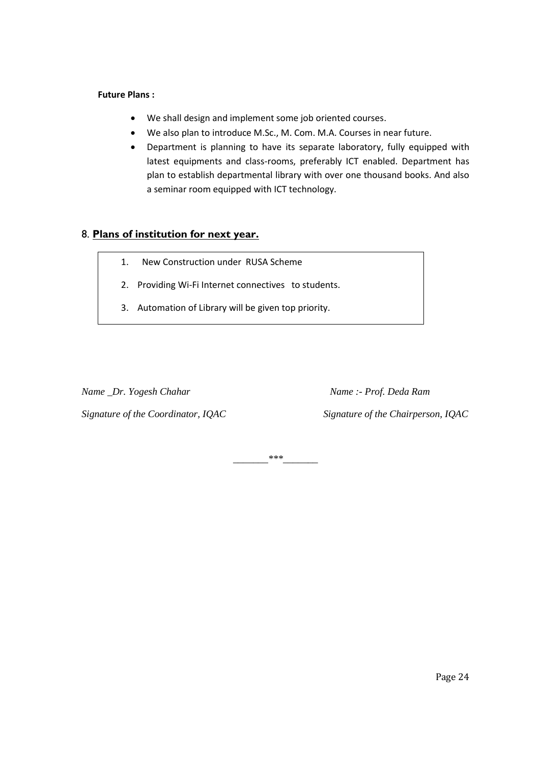### **Future Plans :**

- We shall design and implement some job oriented courses.
- We also plan to introduce M.Sc., M. Com. M.A. Courses in near future.
- Department is planning to have its separate laboratory, fully equipped with latest equipments and class-rooms, preferably ICT enabled. Department has plan to establish departmental library with over one thousand books. And also a seminar room equipped with ICT technology.

### 8. **Plans of institution for next year.**

- 1. New Construction under RUSA Scheme
- 2. Providing Wi-Fi Internet connectives to students.
- 3. Automation of Library will be given top priority.

*Name* \_Dr. Yogesh Chahar Mame :- *Prof. Deda Ram* 

*Signature of the Coordinator, IQAC Signature of the Chairperson, IQAC*

*\_\_\_\_\_\_\_\*\*\*\_\_\_\_\_\_\_*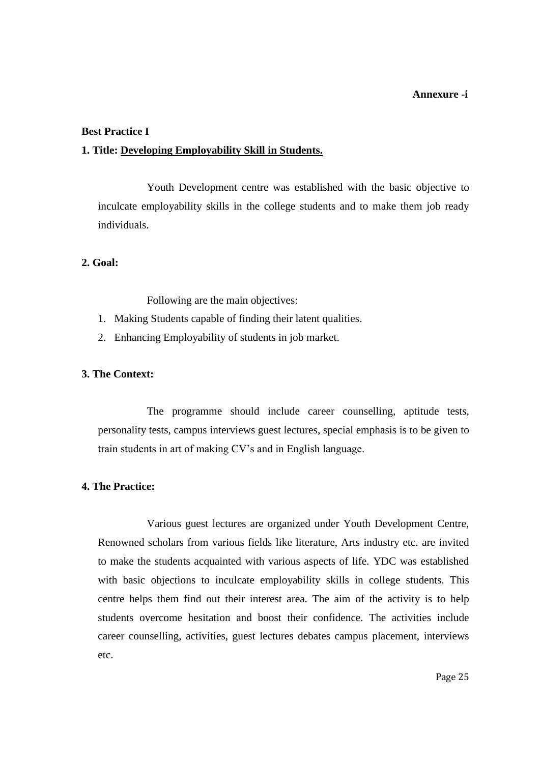#### **Annexure -i**

#### **Best Practice I**

### **1. Title: Developing Employability Skill in Students.**

Youth Development centre was established with the basic objective to inculcate employability skills in the college students and to make them job ready individuals.

### **2. Goal:**

Following are the main objectives:

- 1. Making Students capable of finding their latent qualities.
- 2. Enhancing Employability of students in job market.

### **3. The Context:**

The programme should include career counselling, aptitude tests, personality tests, campus interviews guest lectures, special emphasis is to be given to train students in art of making CV's and in English language.

### **4. The Practice:**

Various guest lectures are organized under Youth Development Centre, Renowned scholars from various fields like literature, Arts industry etc. are invited to make the students acquainted with various aspects of life. YDC was established with basic objections to inculcate employability skills in college students. This centre helps them find out their interest area. The aim of the activity is to help students overcome hesitation and boost their confidence. The activities include career counselling, activities, guest lectures debates campus placement, interviews etc.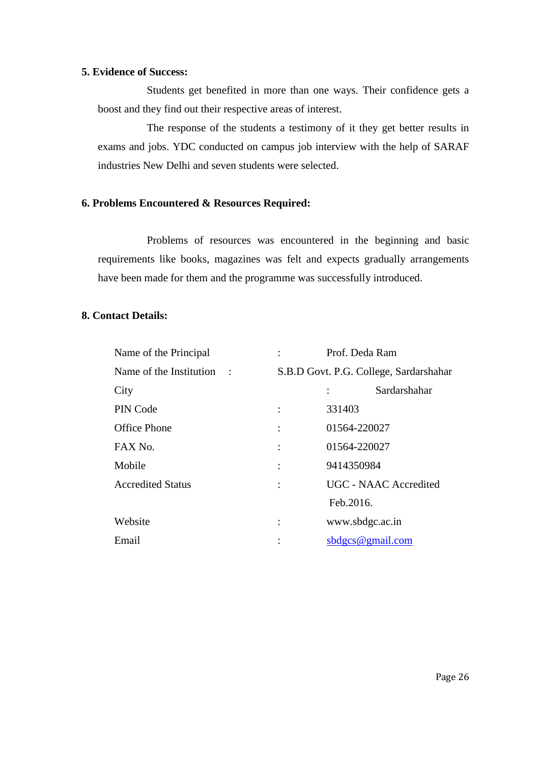### **5. Evidence of Success:**

Students get benefited in more than one ways. Their confidence gets a boost and they find out their respective areas of interest.

The response of the students a testimony of it they get better results in exams and jobs. YDC conducted on campus job interview with the help of SARAF industries New Delhi and seven students were selected.

### **6. Problems Encountered & Resources Required:**

Problems of resources was encountered in the beginning and basic requirements like books, magazines was felt and expects gradually arrangements have been made for them and the programme was successfully introduced.

### **8. Contact Details:**

| Name of the Principal     | Prof. Deda Ram                         |
|---------------------------|----------------------------------------|
| Name of the Institution : | S.B.D Govt. P.G. College, Sardarshahar |
| City                      | Sardarshahar                           |
| PIN Code                  | 331403                                 |
| <b>Office Phone</b>       | 01564-220027<br>$\ddot{\cdot}$         |
| FAX No.                   | 01564-220027<br>$\ddot{\cdot}$         |
| Mobile                    | 9414350984<br>$\ddot{\cdot}$           |
| <b>Accredited Status</b>  | <b>UGC - NAAC Accredited</b>           |
|                           | Feb.2016.                              |
| Website                   | www.sbdgc.ac.in<br>$\ddot{\cdot}$      |
| Email                     | sdges@gmail.com                        |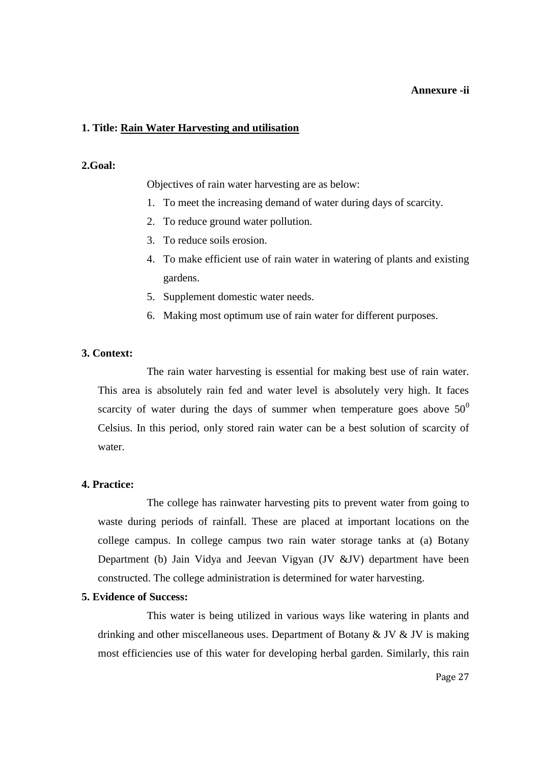### **Annexure -ii**

### **1. Title: Rain Water Harvesting and utilisation**

### **2.Goal:**

Objectives of rain water harvesting are as below:

- 1. To meet the increasing demand of water during days of scarcity.
- 2. To reduce ground water pollution.
- 3. To reduce soils erosion.
- 4. To make efficient use of rain water in watering of plants and existing gardens.
- 5. Supplement domestic water needs.
- 6. Making most optimum use of rain water for different purposes.

### **3. Context:**

The rain water harvesting is essential for making best use of rain water. This area is absolutely rain fed and water level is absolutely very high. It faces scarcity of water during the days of summer when temperature goes above  $50^0$ Celsius. In this period, only stored rain water can be a best solution of scarcity of water.

### **4. Practice:**

The college has rainwater harvesting pits to prevent water from going to waste during periods of rainfall. These are placed at important locations on the college campus. In college campus two rain water storage tanks at (a) Botany Department (b) Jain Vidya and Jeevan Vigyan (JV &JV) department have been constructed. The college administration is determined for water harvesting.

### **5. Evidence of Success:**

This water is being utilized in various ways like watering in plants and drinking and other miscellaneous uses. Department of Botany & JV & JV is making most efficiencies use of this water for developing herbal garden. Similarly, this rain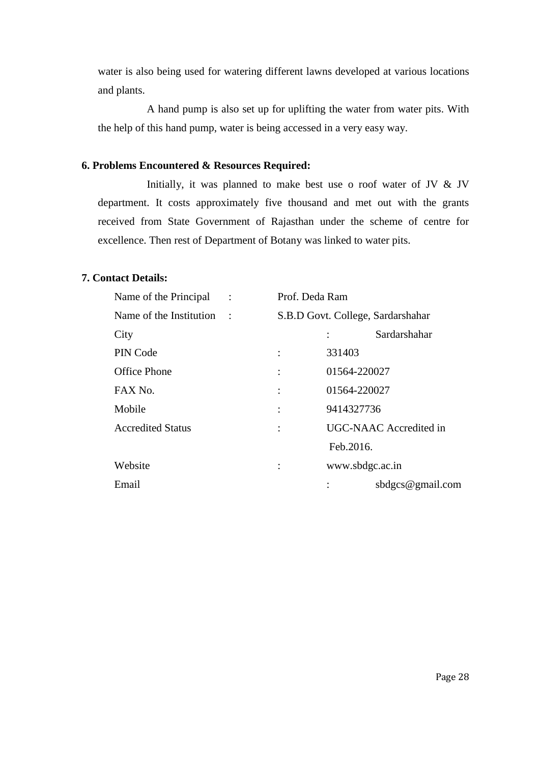water is also being used for watering different lawns developed at various locations and plants.

A hand pump is also set up for uplifting the water from water pits. With the help of this hand pump, water is being accessed in a very easy way.

### **6. Problems Encountered & Resources Required:**

Initially, it was planned to make best use o roof water of JV & JV department. It costs approximately five thousand and met out with the grants received from State Government of Rajasthan under the scheme of centre for excellence. Then rest of Department of Botany was linked to water pits.

### **7. Contact Details:**

| Name of the Principal :   | Prof. Deda Ram |                                   |
|---------------------------|----------------|-----------------------------------|
| Name of the Institution : |                | S.B.D Govt. College, Sardarshahar |
| City                      |                | Sardarshahar                      |
| PIN Code                  |                | 331403                            |
| <b>Office Phone</b>       |                | 01564-220027                      |
| FAX No.                   |                | 01564-220027                      |
| Mobile                    |                | 9414327736                        |
| <b>Accredited Status</b>  |                | UGC-NAAC Accredited in            |
|                           |                | Feb.2016.                         |
| Website                   |                | www.sbdgc.ac.in                   |
| Email                     |                | sbdgcs@gmail.com                  |